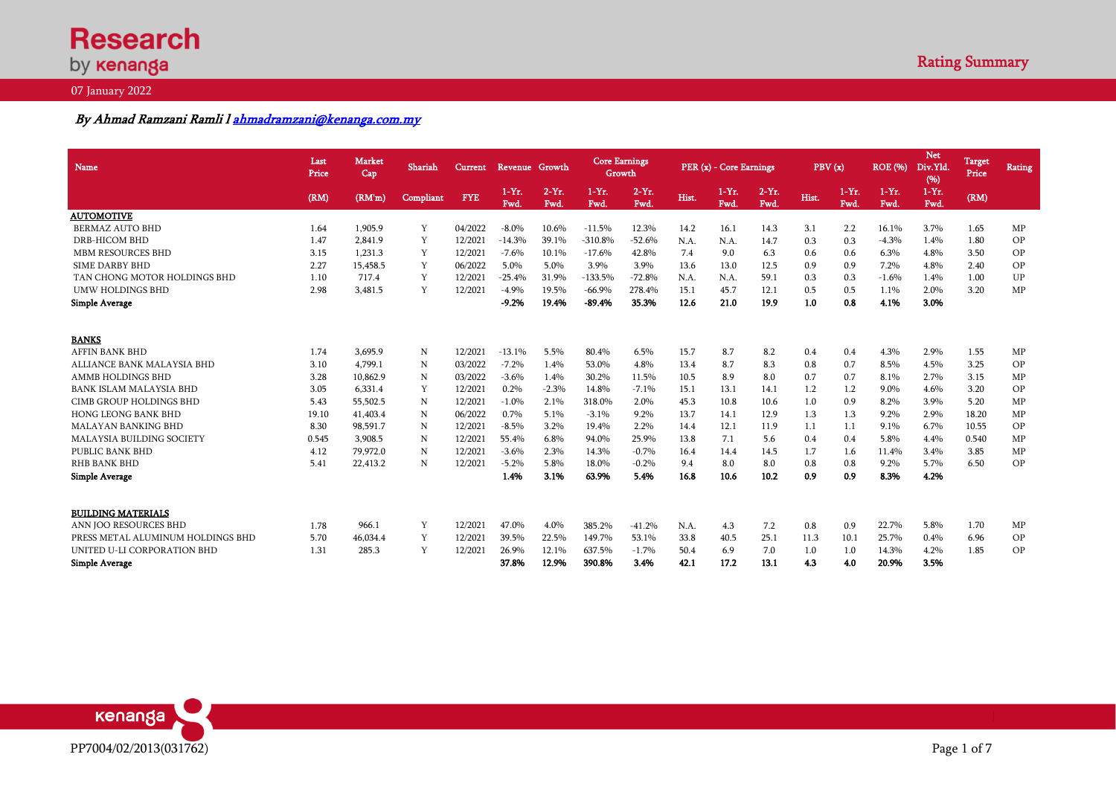# **Research** by **kenanga**

#### 07 January 2022

## By Ahmad Ramzani Ramli [l ahmadramzani@kenanga.com.my](mailto:ahmadramzani@kenanga.com.my)

| <b>Name</b>                       | Last<br>Price | <b>Market</b><br>Cap | Shariah   | <b>Current</b> | Revenue Growth  |                  | <b>Core Earnings</b><br>Growth |                 |       | PER (x) - Core Earnings |                  | PBV(x) |                 | <b>ROE</b> (%)   | <b>Net</b><br>Div.Yld.<br>(96) | Target<br>Price | <b>Rating</b> |
|-----------------------------------|---------------|----------------------|-----------|----------------|-----------------|------------------|--------------------------------|-----------------|-------|-------------------------|------------------|--------|-----------------|------------------|--------------------------------|-----------------|---------------|
|                                   | (RM)          | (RM'm)               | Compliant | <b>FYE</b>     | $1-Yr.$<br>Fwd. | $2-Yr$ .<br>Fwd. | $1-Yr.$<br>Fwd.                | $2-Yr.$<br>Fwd. | Hist. | $1-Yr$ .<br>Fwd.        | $2-Yr$ .<br>Fwd. | Hist.  | $1-Yr.$<br>Fwd. | $1-Yr$ .<br>Fwd. | $1-Yr$ .<br>Fwd.               | (RM)            |               |
| <b>AUTOMOTIVE</b>                 |               |                      |           |                |                 |                  |                                |                 |       |                         |                  |        |                 |                  |                                |                 |               |
| <b>BERMAZ AUTO BHD</b>            | 1.64          | 1.905.9              | Y         | 04/2022        | $-8.0\%$        | 10.6%            | $-11.5%$                       | 12.3%           | 14.2  | 16.1                    | 14.3             | 3.1    | 2.2             | 16.1%            | 3.7%                           | 1.65            | MP            |
| <b>DRB-HICOM BHD</b>              | 1.47          | 2.841.9              | Y         | 12/2021        | $-14.3%$        | 39.1%            | $-310.8%$                      | $-52.6%$        | N.A.  | N.A.                    | 14.7             | 0.3    | 0.3             | $-4.3%$          | 1.4%                           | 1.80            | <b>OP</b>     |
| <b>MBM RESOURCES BHD</b>          | 3.15          | 1.231.3              | Y         | 12/2021        | $-7.6%$         | 10.1%            | $-17.6%$                       | 42.8%           | 7.4   | 9.0                     | 6.3              | 0.6    | 0.6             | 6.3%             | 4.8%                           | 3.50            | OP            |
| <b>SIME DARBY BHD</b>             | 2.27          | 15.458.5             | Y         | 06/2022        | 5.0%            | 5.0%             | 3.9%                           | 3.9%            | 13.6  | 13.0                    | 12.5             | 0.9    | 0.9             | 7.2%             | 4.8%                           | 2.40            | OP            |
| TAN CHONG MOTOR HOLDINGS BHD      | 1.10          | 717.4                | Y         | 12/2021        | $-25.4%$        | 31.9%            | $-133.5%$                      | $-72.8%$        | N.A.  | N.A.                    | 59.1             | 0.3    | 0.3             | $-1.6%$          | 1.4%                           | 1.00            | UP            |
| <b>UMW HOLDINGS BHD</b>           | 2.98          | 3,481.5              | Y         | 12/2021        | $-4.9%$         | 19.5%            | $-66.9%$                       | 278.4%          | 15.1  | 45.7                    | 12.1             | 0.5    | 0.5             | 1.1%             | 2.0%                           | 3.20            | <b>MP</b>     |
| <b>Simple Average</b>             |               |                      |           |                | $-9.2%$         | 19.4%            | $-89.4%$                       | 35.3%           | 12.6  | 21.0                    | 19.9             | 1.0    | 0.8             | 4.1%             | 3.0%                           |                 |               |
| <b>BANKS</b>                      |               |                      |           |                |                 |                  |                                |                 |       |                         |                  |        |                 |                  |                                |                 |               |
| <b>AFFIN BANK BHD</b>             | 1.74          | 3,695.9              | N         | 12/2021        | $-13.1%$        | 5.5%             | 80.4%                          | 6.5%            | 15.7  | 8.7                     | 8.2              | 0.4    | 0.4             | 4.3%             | 2.9%                           | 1.55            | MP            |
| ALLIANCE BANK MALAYSIA BHD        | 3.10          | 4.799.1              | N         | 03/2022        | $-7.2%$         | 1.4%             | 53.0%                          | 4.8%            | 13.4  | 8.7                     | 8.3              | 0.8    | 0.7             | 8.5%             | 4.5%                           | 3.25            | OP            |
| <b>AMMB HOLDINGS BHD</b>          | 3.28          | 10.862.9             | N         | 03/2022        | $-3.6%$         | 1.4%             | 30.2%                          | 11.5%           | 10.5  | 8.9                     | 8.0              | 0.7    | 0.7             | 8.1%             | 2.7%                           | 3.15            | MP            |
| <b>BANK ISLAM MALAYSIA BHD</b>    | 3.05          | 6.331.4              | Y         | 12/2021        | 0.2%            | $-2.3%$          | 14.8%                          | $-7.1%$         | 15.1  | 13.1                    | 14.1             | 1.2    | 1.2             | 9.0%             | 4.6%                           | 3.20            | OP            |
| CIMB GROUP HOLDINGS BHD           | 5.43          | 55,502.5             | N         | 12/2021        | $-1.0%$         | 2.1%             | 318.0%                         | 2.0%            | 45.3  | 10.8                    | 10.6             | 1.0    | 0.9             | 8.2%             | 3.9%                           | 5.20            | MP            |
| <b>HONG LEONG BANK BHD</b>        | 19.10         | 41,403.4             | N         | 06/2022        | 0.7%            | 5.1%             | $-3.1%$                        | 9.2%            | 13.7  | 14.1                    | 12.9             | 1.3    | 1.3             | 9.2%             | 2.9%                           | 18.20           | MP            |
| <b>MALAYAN BANKING BHD</b>        | 8.30          | 98.591.7             | N         | 12/2021        | $-8.5%$         | 3.2%             | 19.4%                          | 2.2%            | 14.4  | 12.1                    | 11.9             | 1.1    | 1.1             | 9.1%             | 6.7%                           | 10.55           | OP            |
| <b>MALAYSIA BUILDING SOCIETY</b>  | 0.545         | 3.908.5              | N         | 12/2021        | 55.4%           | 6.8%             | 94.0%                          | 25.9%           | 13.8  | 7.1                     | 5.6              | 0.4    | 0.4             | 5.8%             | 4.4%                           | 0.540           | MP            |
| PUBLIC BANK BHD                   | 4.12          | 79,972.0             | N         | 12/2021        | $-3.6%$         | 2.3%             | 14.3%                          | $-0.7%$         | 16.4  | 14.4                    | 14.5             | 1.7    | 1.6             | 11.4%            | 3.4%                           | 3.85            | <b>MP</b>     |
| <b>RHB BANK BHD</b>               | 5.41          | 22,413.2             | N         | 12/2021        | $-5.2%$         | 5.8%             | 18.0%                          | $-0.2%$         | 9.4   | 8.0                     | 8.0              | 0.8    | 0.8             | 9.2%             | 5.7%                           | 6.50            | <b>OP</b>     |
| <b>Simple Average</b>             |               |                      |           |                | 1.4%            | 3.1%             | 63.9%                          | 5.4%            | 16.8  | 10.6                    | 10.2             | 0.9    | 0.9             | 8.3%             | 4.2%                           |                 |               |
| <b>BUILDING MATERIALS</b>         |               |                      |           |                |                 |                  |                                |                 |       |                         |                  |        |                 |                  |                                |                 |               |
| ANN IOO RESOURCES BHD             | 1.78          | 966.1                | Y         | 12/2021        | 47.0%           | 4.0%             | 385.2%                         | $-41.2%$        | N.A.  | 4.3                     | 7.2              | 0.8    | 0.9             | 22.7%            | 5.8%                           | 1.70            | MP            |
| PRESS METAL ALUMINUM HOLDINGS BHD | 5.70          | 46,034.4             | Y         | 12/2021        | 39.5%           | 22.5%            | 149.7%                         | 53.1%           | 33.8  | 40.5                    | 25.1             | 11.3   | 10.1            | 25.7%            | 0.4%                           | 6.96            | OP            |
| UNITED U-LI CORPORATION BHD       | 1.31          | 285.3                | Y         | 12/2021        | 26.9%           | 12.1%            | 637.5%                         | $-1.7%$         | 50.4  | 6.9                     | 7.0              | 1.0    | 1.0             | 14.3%            | 4.2%                           | 1.85            | OP            |
| <b>Simple Average</b>             |               |                      |           |                | 37.8%           | 12.9%            | 390.8%                         | 3.4%            | 42.1  | 17.2                    | 13.1             | 4.3    | 4.0             | 20.9%            | 3.5%                           |                 |               |

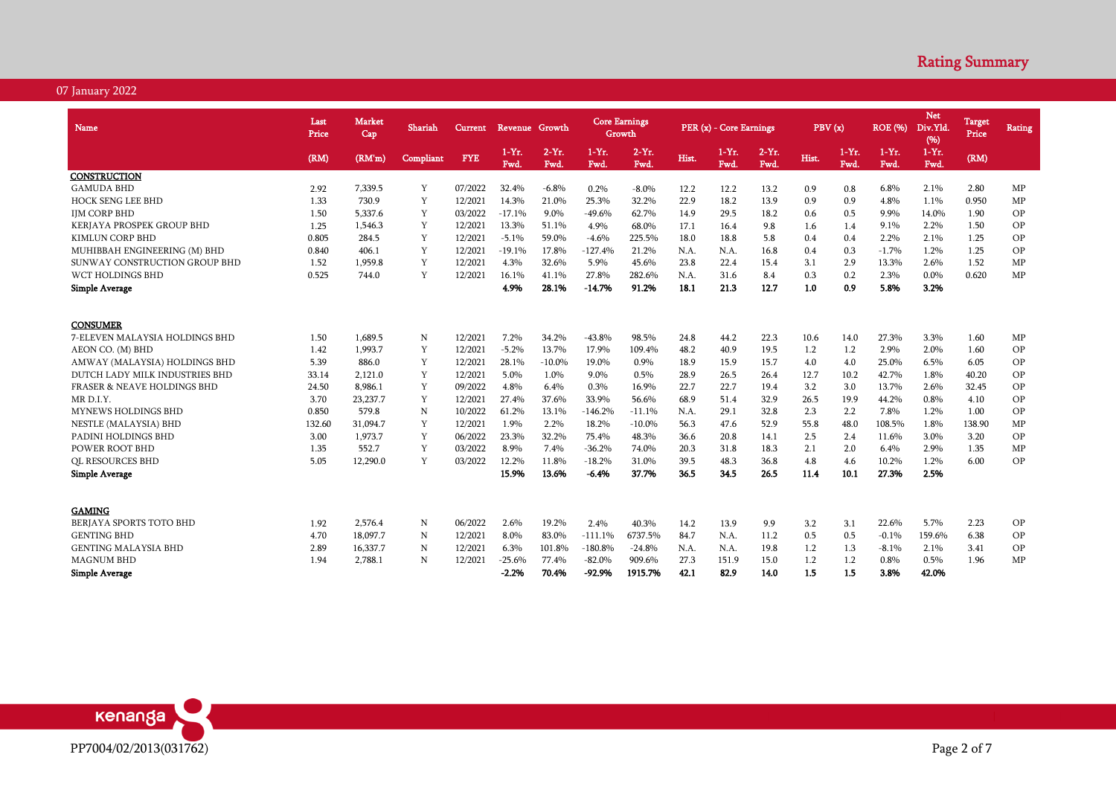| <b>Name</b>                            | Last<br>Price | Market<br>Cap | Shariah   | <b>Current</b> | Revenue Growth |                  | <b>Core Earnings</b><br>Growth |                  |       | PER (x) - Core Earnings |                 | PBV(x) |                 | <b>ROE</b> (%)   | Net<br>Div.Yld<br>(%) | Target<br>Price | <b>Rating</b> |
|----------------------------------------|---------------|---------------|-----------|----------------|----------------|------------------|--------------------------------|------------------|-------|-------------------------|-----------------|--------|-----------------|------------------|-----------------------|-----------------|---------------|
|                                        | (RM)          | (RM'm)        | Compliant | <b>FYE</b>     | $1-Yr.$<br>Fwd | $2-Yr$ .<br>Fwd. | $1-Yr$ .<br>Fwd.               | $2-Yr$ .<br>Fwd. | Hist. | $1-Yr$ .<br>Fwd.        | $2-Yr.$<br>Fwd. | Hist.  | $1-Yr.$<br>Fwd. | $1-Yr$ .<br>Fwd. | $1-Yr.$<br>Fwd.       | (RM)            |               |
| CONSTRUCTION                           |               |               |           |                |                |                  |                                |                  |       |                         |                 |        |                 |                  |                       |                 |               |
| <b>GAMUDA BHD</b>                      | 2.92          | 7,339.5       | Y         | 07/2022        | 32.4%          | $-6.8%$          | 0.2%                           | $-8.0\%$         | 12.2  | 12.2                    | 13.2            | 0.9    | 0.8             | 6.8%             | 2.1%                  | 2.80            | MP            |
| <b>HOCK SENG LEE BHD</b>               | 1.33          | 730.9         | Y         | 12/2021        | 14.3%          | 21.0%            | 25.3%                          | 32.2%            | 22.9  | 18.2                    | 13.9            | 0.9    | 0.9             | 4.8%             | 1.1%                  | 0.950           | MP            |
| <b>IJM CORP BHD</b>                    | 1.50          | 5,337.6       | Y         | 03/2022        | $-17.1%$       | 9.0%             | $-49.6%$                       | 62.7%            | 14.9  | 29.5                    | 18.2            | 0.6    | 0.5             | 9.9%             | 14.0%                 | 1.90            | OP            |
| KERJAYA PROSPEK GROUP BHD              | 1.25          | 1,546.3       | Y         | 12/2021        | 13.3%          | 51.1%            | 4.9%                           | 68.0%            | 17.1  | 16.4                    | 9.8             | 1.6    | 1.4             | 9.1%             | 2.2%                  | 1.50            | OP            |
| <b>KIMLUN CORP BHD</b>                 | 0.805         | 284.5         | Y         | 12/2021        | $-5.1%$        | 59.0%            | $-4.6%$                        | 225.5%           | 18.0  | 18.8                    | 5.8             | 0.4    | 0.4             | 2.2%             | 2.1%                  | 1.25            | OP            |
| MUHIBBAH ENGINEERING (M) BHD           | 0.840         | 406.1         | Y         | 12/2021        | $-19.1%$       | 17.8%            | $-127.4%$                      | 21.2%            | N.A.  | N.A.                    | 16.8            | 0.4    | 0.3             | $-1.7%$          | 1.2%                  | 1.25            | OP            |
| SUNWAY CONSTRUCTION GROUP BHD          | 1.52          | 1,959.8       | Y         | 12/2021        | 4.3%           | 32.6%            | 5.9%                           | 45.6%            | 23.8  | 22.4                    | 15.4            | 3.1    | 2.9             | 13.3%            | 2.6%                  | 1.52            | MP            |
| <b>WCT HOLDINGS BHD</b>                | 0.525         | 744.0         | Y         | 12/2021        | 16.1%          | 41.1%            | 27.8%                          | 282.6%           | N.A.  | 31.6                    | 8.4             | 0.3    | 0.2             | 2.3%             | 0.0%                  | 0.620           | MP            |
| <b>Simple Average</b>                  |               |               |           |                | 4.9%           | 28.1%            | $-14.7%$                       | 91.2%            | 18.1  | 21.3                    | 12.7            | 1.0    | 0.9             | 5.8%             | 3.2%                  |                 |               |
|                                        |               |               |           |                |                |                  |                                |                  |       |                         |                 |        |                 |                  |                       |                 |               |
| <b>CONSUMER</b>                        |               |               |           |                |                |                  |                                |                  |       |                         |                 |        |                 |                  |                       |                 |               |
| 7-ELEVEN MALAYSIA HOLDINGS BHD         | 1.50          | 1.689.5       | N         | 12/2021        | 7.2%           | 34.2%            | $-43.8%$                       | 98.5%            | 24.8  | 44.2                    | 22.3            | 10.6   | 14.0            | 27.3%            | 3.3%                  | 1.60            | MP            |
| AEON CO. (M) BHD                       | 1.42          | 1,993.7       | Y         | 12/2021        | $-5.2%$        | 13.7%            | 17.9%                          | 109.4%           | 48.2  | 40.9                    | 19.5            | 1.2    | 1.2             | 2.9%             | 2.0%                  | 1.60            | OP            |
| AMWAY (MALAYSIA) HOLDINGS BHD          | 5.39          | 886.0         | Y         | 12/2021        | 28.1%          | $-10.0\%$        | 19.0%                          | 0.9%             | 18.9  | 15.9                    | 15.7            | 4.0    | 4.0             | 25.0%            | 6.5%                  | 6.05            | OP            |
| DUTCH LADY MILK INDUSTRIES BHD         | 33.14         | 2.121.0       | Y         | 12/2021        | 5.0%           | 1.0%             | 9.0%                           | 0.5%             | 28.9  | 26.5                    | 26.4            | 12.7   | 10.2            | 42.7%            | 1.8%                  | 40.20           | OP            |
| <b>FRASER &amp; NEAVE HOLDINGS BHD</b> | 24.50         | 8.986.1       | Y         | 09/2022        | 4.8%           | 6.4%             | 0.3%                           | 16.9%            | 22.7  | 22.7                    | 19.4            | 3.2    | 3.0             | 13.7%            | 2.6%                  | 32.45           | OP            |
| MR D.I.Y.                              | 3.70          | 23,237.7      | Y         | 12/2021        | 27.4%          | 37.6%            | 33.9%                          | 56.6%            | 68.9  | 51.4                    | 32.9            | 26.5   | 19.9            | 44.2%            | 0.8%                  | 4.10            | OP            |
| <b>MYNEWS HOLDINGS BHD</b>             | 0.850         | 579.8         | N         | 10/2022        | 61.2%          | 13.1%            | $-146.2%$                      | $-11.1%$         | N.A.  | 29.1                    | 32.8            | 2.3    | 2.2             | 7.8%             | 1.2%                  | 1.00            | OP            |
| NESTLE (MALAYSIA) BHD                  | 132.60        | 31,094.7      | Y         | 12/2021        | 1.9%           | 2.2%             | 18.2%                          | $-10.0\%$        | 56.3  | 47.6                    | 52.9            | 55.8   | 48.0            | 108.5%           | 1.8%                  | 138.90          | MP            |
| PADINI HOLDINGS BHD                    | 3.00          | 1.973.7       | Y         | 06/2022        | 23.3%          | 32.2%            | 75.4%                          | 48.3%            | 36.6  | 20.8                    | 14.1            | 2.5    | 2.4             | 11.6%            | 3.0%                  | 3.20            | OP            |
| POWER ROOT BHD                         | 1.35          | 552.7         | Y         | 03/2022        | 8.9%           | 7.4%             | $-36.2%$                       | 74.0%            | 20.3  | 31.8                    | 18.3            | 2.1    | 2.0             | 6.4%             | 2.9%                  | 1.35            | MP            |
| <b>QL RESOURCES BHD</b>                | 5.05          | 12,290.0      | Y         | 03/2022        | 12.2%          | 11.8%            | $-18.2%$                       | 31.0%            | 39.5  | 48.3                    | 36.8            | 4.8    | 4.6             | 10.2%            | 1.2%                  | 6.00            | OP            |
| <b>Simple Average</b>                  |               |               |           |                | 15.9%          | 13.6%            | $-6.4%$                        | 37.7%            | 36.5  | 34.5                    | 26.5            | 11.4   | 10.1            | 27.3%            | 2.5%                  |                 |               |
|                                        |               |               |           |                |                |                  |                                |                  |       |                         |                 |        |                 |                  |                       |                 |               |
| <b>GAMING</b>                          |               |               |           |                |                |                  |                                |                  |       |                         |                 |        |                 |                  |                       |                 |               |
| BERJAYA SPORTS TOTO BHD                | 1.92          | 2,576.4       | N         | 06/2022        | 2.6%           | 19.2%            | 2.4%                           | 40.3%            | 14.2  | 13.9                    | 9.9             | 3.2    | 3.1             | 22.6%            | 5.7%                  | 2.23            | OP            |
| <b>GENTING BHD</b>                     | 4.70          | 18,097.7      | N         | 12/2021        | 8.0%           | 83.0%            | $-111.1\%$                     | 6737.5%          | 84.7  | N.A.                    | 11.2            | 0.5    | 0.5             | $-0.1%$          | 159.6%                | 6.38            | OP            |
| <b>GENTING MALAYSIA BHD</b>            | 2.89          | 16,337.7      | N         | 12/2021        | 6.3%           | 101.8%           | $-180.8%$                      | $-24.8%$         | N.A.  | N.A.                    | 19.8            | 1.2    | 1.3             | $-8.1%$          | 2.1%                  | 3.41            | OP            |
| <b>MAGNUM BHD</b>                      | 1.94          | 2,788.1       | N         | 12/2021        | $-25.6%$       | 77.4%            | $-82.0%$                       | 909.6%           | 27.3  | 151.9                   | 15.0            | 1.2    | 1.2             | 0.8%             | 0.5%                  | 1.96            | MP            |
| <b>Simple Average</b>                  |               |               |           |                | $-2.2%$        | 70.4%            | $-92.9%$                       | 1915.7%          | 42.1  | 82.9                    | 14.0            | 1.5    | 1.5             | 3.8%             | 42.0%                 |                 |               |

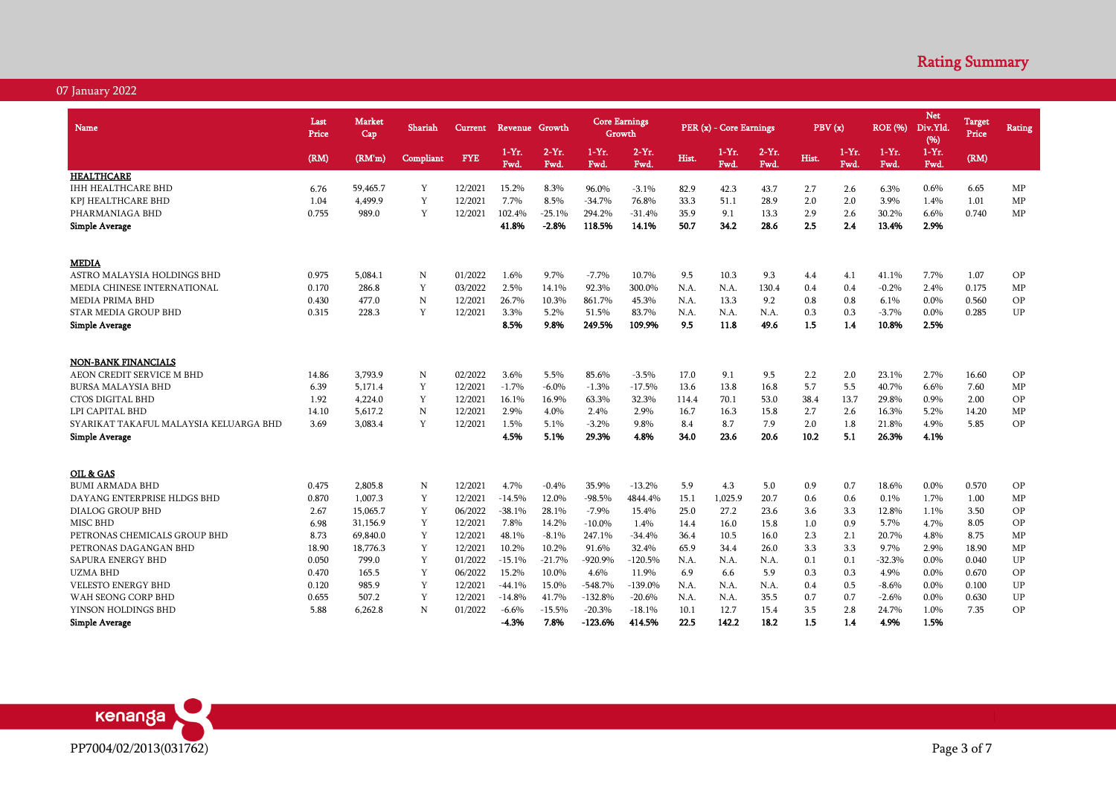| <b>Name</b>                            | Last<br>Price | <b>Market</b><br>Cap | Shariah   | Current    | Revenue Growth  |                  |                    | <b>Core Earnings</b><br>Growth |       | PER (x) - Core Earnings |                  | PBV(x) |                  | <b>ROE</b> (%)  | <b>Net</b><br>Div.Yld<br>(96) | <b>Target</b><br>Price | <b>Rating</b> |
|----------------------------------------|---------------|----------------------|-----------|------------|-----------------|------------------|--------------------|--------------------------------|-------|-------------------------|------------------|--------|------------------|-----------------|-------------------------------|------------------------|---------------|
|                                        | (RM)          | (RM'm)               | Compliant | <b>FYE</b> | $1-Yr.$<br>Fwd. | $2-Yr$ .<br>Fwd. | $1 - Yr$ .<br>Fwd. | $2-Yr$ .<br>Fwd.               | Hist. | $1-Yr.$<br>Fwd.         | $2-Yr$ .<br>Fwd. | Hist.  | $1-Yr$ .<br>Fwd. | $1-Yr.$<br>Fwd. | $1-Yr.$<br>Fwd.               | (RM)                   |               |
| <b>HEALTHCARE</b>                      |               |                      |           |            |                 |                  |                    |                                |       |                         |                  |        |                  |                 |                               |                        |               |
| <b>IHH HEALTHCARE BHD</b>              | 6.76          | 59,465.7             | Y         | 12/2021    | 15.2%           | 8.3%             | 96.0%              | $-3.1%$                        | 82.9  | 42.3                    | 43.7             | 2.7    | 2.6              | 6.3%            | 0.6%                          | 6.65                   | MP            |
| KPJ HEALTHCARE BHD                     | 1.04          | 4,499.9              | Y         | 12/2021    | 7.7%            | 8.5%             | $-34.7%$           | 76.8%                          | 33.3  | 51.1                    | 28.9             | 2.0    | 2.0              | 3.9%            | 1.4%                          | 1.01                   | MP            |
| PHARMANIAGA BHD                        | 0.755         | 989.0                | Y         | 12/2021    | 102.4%          | $-25.1%$         | 294.2%             | $-31.4%$                       | 35.9  | 9.1                     | 13.3             | 2.9    | 2.6              | 30.2%           | 6.6%                          | 0.740                  | MP            |
| <b>Simple Average</b>                  |               |                      |           |            | 41.8%           | $-2.8%$          | 118.5%             | 14.1%                          | 50.7  | 34.2                    | 28.6             | 2.5    | 2.4              | 13.4%           | 2.9%                          |                        |               |
| <b>MEDIA</b>                           |               |                      |           |            |                 |                  |                    |                                |       |                         |                  |        |                  |                 |                               |                        |               |
| ASTRO MALAYSIA HOLDINGS BHD            | 0.975         | 5,084.1              | N         | 01/2022    | 1.6%            | 9.7%             | $-7.7%$            | 10.7%                          | 9.5   | 10.3                    | 9.3              | 4.4    | 4.1              | 41.1%           | 7.7%                          | 1.07                   | OP            |
| MEDIA CHINESE INTERNATIONAL            | 0.170         | 286.8                | Y         | 03/2022    | 2.5%            | 14.1%            | 92.3%              | 300.0%                         | N.A.  | N.A.                    | 130.4            | 0.4    | 0.4              | $-0.2%$         | 2.4%                          | 0.175                  | MP            |
| <b>MEDIA PRIMA BHD</b>                 | 0.430         | 477.0                | ${\bf N}$ | 12/2021    | 26.7%           | 10.3%            | 861.7%             | 45.3%                          | N.A.  | 13.3                    | 9.2              | 0.8    | 0.8              | 6.1%            | 0.0%                          | 0.560                  | <b>OP</b>     |
| STAR MEDIA GROUP BHD                   | 0.315         | 228.3                | Y         | 12/2021    | 3.3%            | 5.2%             | 51.5%              | 83.7%                          | N.A.  | N.A.                    | N.A.             | 0.3    | 0.3              | $-3.7%$         | $0.0\%$                       | 0.285                  | UP            |
| <b>Simple Average</b>                  |               |                      |           |            | 8.5%            | 9.8%             | 249.5%             | 109.9%                         | 9.5   | 11.8                    | 49.6             | 1.5    | 1.4              | 10.8%           | 2.5%                          |                        |               |
|                                        |               |                      |           |            |                 |                  |                    |                                |       |                         |                  |        |                  |                 |                               |                        |               |
| <b>NON-BANK FINANCIALS</b>             |               |                      |           |            |                 |                  |                    |                                |       |                         |                  |        |                  |                 |                               |                        |               |
| AEON CREDIT SERVICE M BHD              | 14.86         | 3,793.9              | N         | 02/2022    | 3.6%            | 5.5%             | 85.6%              | $-3.5%$                        | 17.0  | 9.1                     | 9.5              | 2.2    | 2.0              | 23.1%           | 2.7%                          | 16.60                  | OP            |
| <b>BURSA MALAYSIA BHD</b>              | 6.39          | 5.171.4              | Y         | 12/2021    | $-1.7%$         | $-6.0\%$         | $-1.3%$            | $-17.5%$                       | 13.6  | 13.8                    | 16.8             | 5.7    | 5.5              | 40.7%           | 6.6%                          | 7.60                   | MP            |
| <b>CTOS DIGITAL BHD</b>                | 1.92          | 4,224.0              | Y         | 12/2021    | 16.1%           | 16.9%            | 63.3%              | 32.3%                          | 114.4 | 70.1                    | 53.0             | 38.4   | 13.7             | 29.8%           | 0.9%                          | 2.00                   | OP            |
| LPI CAPITAL BHD                        | 14.10         | 5,617.2              | ${\bf N}$ | 12/2021    | 2.9%            | 4.0%             | 2.4%               | 2.9%                           | 16.7  | 16.3                    | 15.8             | 2.7    | 2.6              | 16.3%           | 5.2%                          | 14.20                  | MP            |
| SYARIKAT TAKAFUL MALAYSIA KELUARGA BHD | 3.69          | 3,083.4              | Y         | 12/2021    | 1.5%            | 5.1%             | $-3.2%$            | 9.8%                           | 8.4   | 8.7                     | 7.9              | 2.0    | 1.8              | 21.8%           | 4.9%                          | 5.85                   | OP            |
| Simple Average                         |               |                      |           |            | 4.5%            | 5.1%             | 29.3%              | 4.8%                           | 34.0  | 23.6                    | 20.6             | 10.2   | 5.1              | 26.3%           | 4.1%                          |                        |               |
| OIL & GAS                              |               |                      |           |            |                 |                  |                    |                                |       |                         |                  |        |                  |                 |                               |                        |               |
| <b>BUMI ARMADA BHD</b>                 | 0.475         | 2.805.8              | N         | 12/2021    | 4.7%            | $-0.4%$          | 35.9%              | $-13.2%$                       | 5.9   | 4.3                     | 5.0              | 0.9    | 0.7              | 18.6%           | 0.0%                          | 0.570                  | OP            |
| DAYANG ENTERPRISE HLDGS BHD            | 0.870         | 1,007.3              | Y         | 12/2021    | $-14.5%$        | 12.0%            | $-98.5%$           | 4844.4%                        | 15.1  | 1,025.9                 | 20.7             | 0.6    | 0.6              | 0.1%            | 1.7%                          | 1.00                   | MP            |
| <b>DIALOG GROUP BHD</b>                | 2.67          | 15,065.7             | Y         | 06/2022    | $-38.1%$        | 28.1%            | $-7.9%$            | 15.4%                          | 25.0  | 27.2                    | 23.6             | 3.6    | 3.3              | 12.8%           | 1.1%                          | 3.50                   | OP            |
| <b>MISC BHD</b>                        | 6.98          | 31,156.9             | Y         | 12/2021    | 7.8%            | 14.2%            | $-10.0\%$          | 1.4%                           | 14.4  | 16.0                    | 15.8             | 1.0    | 0.9              | 5.7%            | 4.7%                          | 8.05                   | OP            |
| PETRONAS CHEMICALS GROUP BHD           | 8.73          | 69,840.0             | Y         | 12/2021    | 48.1%           | $-8.1%$          | 247.1%             | $-34.4%$                       | 36.4  | 10.5                    | 16.0             | 2.3    | 2.1              | 20.7%           | 4.8%                          | 8.75                   | MP            |
| PETRONAS DAGANGAN BHD                  | 18.90         | 18,776.3             | Y         | 12/2021    | 10.2%           | 10.2%            | 91.6%              | 32.4%                          | 65.9  | 34.4                    | 26.0             | 3.3    | 3.3              | 9.7%            | 2.9%                          | 18.90                  | MP            |
| SAPURA ENERGY BHD                      | 0.050         | 799.0                | Y         | 01/2022    | $-15.1%$        | $-21.7%$         | $-920.9%$          | $-120.5%$                      | N.A.  | N.A.                    | N.A.             | 0.1    | 0.1              | $-32.3%$        | 0.0%                          | 0.040                  | UP            |
| <b>UZMA BHD</b>                        | 0.470         | 165.5                | Y         | 06/2022    | 15.2%           | 10.0%            | 4.6%               | 11.9%                          | 6.9   | 6.6                     | 5.9              | 0.3    | 0.3              | 4.9%            | 0.0%                          | 0.670                  | OP            |
| <b>VELESTO ENERGY BHD</b>              | 0.120         | 985.9                | Y         | 12/2021    | $-44.1%$        | 15.0%            | $-548.7%$          | $-139.0%$                      | N.A.  | N.A.                    | N.A.             | 0.4    | 0.5              | $-8.6%$         | 0.0%                          | 0.100                  | UP            |
| WAH SEONG CORP BHD                     | 0.655         | 507.2                | Y         | 12/2021    | $-14.8%$        | 41.7%            | $-132.8%$          | $-20.6%$                       | N.A.  | N.A.                    | 35.5             | 0.7    | 0.7              | $-2.6%$         | $0.0\%$                       | 0.630                  | UP            |
| YINSON HOLDINGS BHD                    | 5.88          | 6,262.8              | N         | 01/2022    | $-6.6%$         | $-15.5%$         | $-20.3%$           | $-18.1%$                       | 10.1  | 12.7                    | 15.4             | 3.5    | 2.8              | 24.7%           | 1.0%                          | 7.35                   | <b>OP</b>     |
| <b>Simple Average</b>                  |               |                      |           |            | $-4.3%$         | 7.8%             | $-123.6%$          | 414.5%                         | 22.5  | 142.2                   | 18.2             | 1.5    | 1.4              | 4.9%            | 1.5%                          |                        |               |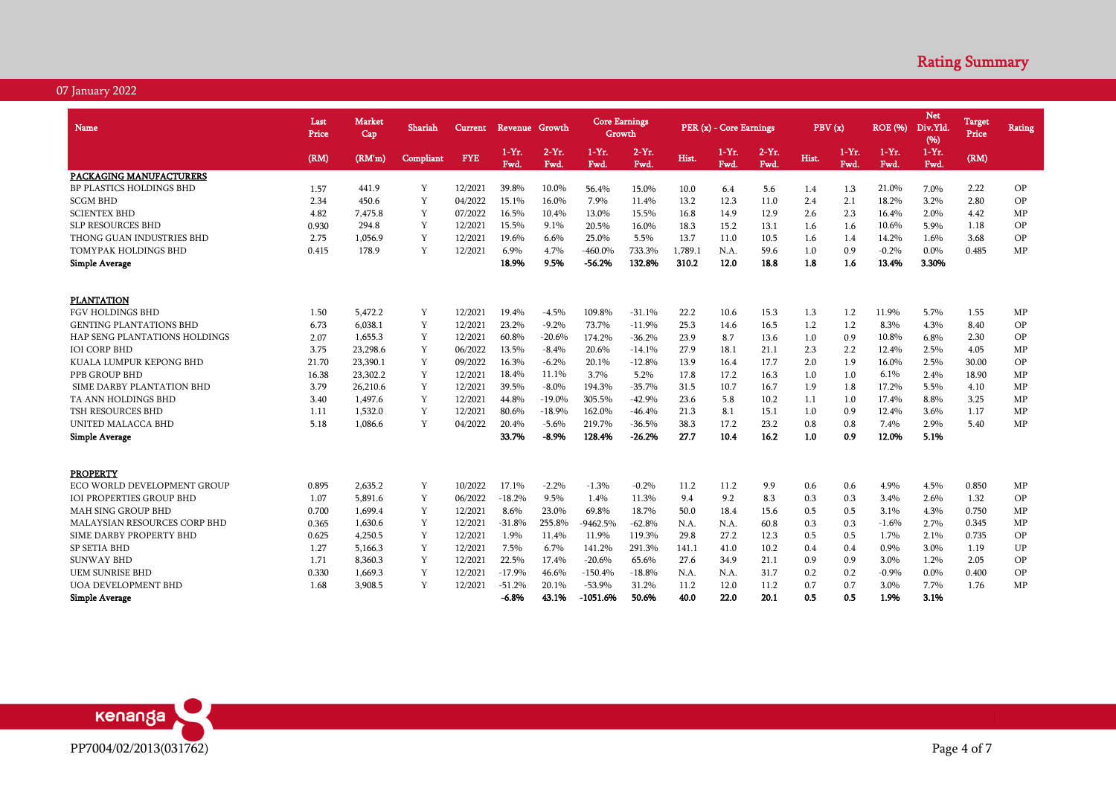| Name                                 | Last<br>Price | Market<br>Cap | Shariah     | <b>Current</b> | Revenue Growth  |                  | <b>Core Earnings</b> | Growth               |              | PER (x) - Core Earnings |                 | PBV(x)     |                  | <b>ROE</b> (%)   | <b>Net</b><br>Div.Yld.<br>(%) | <b>Target</b><br>Price | Rating |
|--------------------------------------|---------------|---------------|-------------|----------------|-----------------|------------------|----------------------|----------------------|--------------|-------------------------|-----------------|------------|------------------|------------------|-------------------------------|------------------------|--------|
|                                      | (RM)          | (RM'm)        | Compliant   | <b>FYE</b>     | $1-Yr.$<br>Fwd. | $2-Yr$ .<br>Fwd. | $1-Yr$ .<br>Fwd.     | $2-Yr.$<br>Fwd.      | Hist.        | $1-Yr.$<br>Fwd.         | $2-Yr.$<br>Fwd. | Hist.      | $1-Yr$ .<br>Fwd. | $1-Yr$ .<br>Fwd. | $1-Yr$ .<br>Fwd.              | (RM)                   |        |
| PACKAGING MANUFACTURERS              |               |               |             |                |                 |                  |                      |                      |              |                         |                 |            |                  |                  |                               |                        |        |
| <b>BP PLASTICS HOLDINGS BHD</b>      | 1.57          | 441.9         | Y           | 12/2021        | 39.8%           | 10.0%            | 56.4%                | 15.0%                | 10.0         | 6.4                     | 5.6             | 1.4        | 1.3              | 21.0%            | 7.0%                          | 2.22                   | OP     |
| <b>SCGM BHD</b>                      | 2.34          | 450.6         | Y           | 04/2022        | 15.1%           | 16.0%            | 7.9%                 | 11.4%                | 13.2         | 12.3                    | 11.0            | 2.4        | 2.1              | 18.2%            | 3.2%                          | 2.80                   | OP     |
| <b>SCIENTEX BHD</b>                  | 4.82          | 7.475.8       | Y           | 07/2022        | 16.5%           | 10.4%            | 13.0%                | 15.5%                | 16.8         | 14.9                    | 12.9            | 2.6        | 2.3              | 16.4%            | 2.0%                          | 4.42                   | MP     |
| SLP RESOURCES BHD                    | 0.930         | 294.8         | Y           | 12/2021        | 15.5%           | 9.1%             | 20.5%                | 16.0%                | 18.3         | 15.2                    | 13.1            | 1.6        | 1.6              | 10.6%            | 5.9%                          | 1.18                   | OP     |
| THONG GUAN INDUSTRIES BHD            | 2.75          | 1,056.9       | Y           | 12/2021        | 19.6%           | 6.6%             | 25.0%                | 5.5%                 | 13.7         | 11.0                    | 10.5            | 1.6        | 1.4              | 14.2%            | 1.6%                          | 3.68                   | OP     |
| TOMYPAK HOLDINGS BHD                 | 0.415         | 178.9         | Y           | 12/2021        | 6.9%            | 4.7%             | $-460.0\%$           | 733.3%               | 1,789.1      | N.A.                    | 59.6            | 1.0        | 0.9              | $-0.2%$          | 0.0%                          | 0.485                  | MP     |
| <b>Simple Average</b>                |               |               |             |                | 18.9%           | 9.5%             | $-56.2%$             | 132.8%               | 310.2        | 12.0                    | 18.8            | 1.8        | 1.6              | 13.4%            | 3.30%                         |                        |        |
| <b>PLANTATION</b>                    |               |               |             |                |                 |                  |                      |                      |              |                         |                 |            |                  |                  |                               |                        |        |
| <b>FGV HOLDINGS BHD</b>              | 1.50          | 5,472.2       | Y           | 12/2021        | 19.4%           | $-4.5%$          | 109.8%               | $-31.1%$             | 22.2         | 10.6                    | 15.3            | 1.3        | 1.2              | 11.9%            | 5.7%                          | 1.55                   | MP     |
| <b>GENTING PLANTATIONS BHD</b>       | 6.73          | 6,038.1       | Y           | 12/2021        | 23.2%           | $-9.2%$          | 73.7%                | $-11.9%$             | 25.3         | 14.6                    | 16.5            | 1.2        | 1.2              | 8.3%             | 4.3%                          | 8.40                   | OP     |
| <b>HAP SENG PLANTATIONS HOLDINGS</b> | 2.07          | 1.655.3       | Y           | 12/2021        | 60.8%           | $-20.6%$         | 174.2%               | $-36.2%$             | 23.9         | 8.7                     | 13.6            |            | 0.9              | 10.8%            | 6.8%                          | 2.30                   | OP     |
| <b>IOI CORP BHD</b>                  |               | 23,298.6      | Y           | 06/2022        | 13.5%           | $-8.4%$          |                      |                      |              |                         |                 | 1.0<br>2.3 | 2.2              | 12.4%            | 2.5%                          | 4.05                   | MP     |
| KUALA LUMPUR KEPONG BHD              | 3.75          | 23,390.1      | Y           | 09/2022        | 16.3%           | $-6.2%$          | 20.6%                | $-14.1%$<br>$-12.8%$ | 27.9<br>13.9 | 18.1                    | 21.1<br>17.7    |            | 1.9              | 16.0%            | 2.5%                          | 30.00                  | OP     |
|                                      | 21.70         |               |             |                | 18.4%           |                  | 20.1%                |                      |              | 16.4                    |                 | 2.0        |                  |                  |                               |                        |        |
| PPB GROUP BHD                        | 16.38         | 23,302.2      | Y           | 12/2021        |                 | 11.1%            | 3.7%                 | 5.2%                 | 17.8         | 17.2                    | 16.3            | 1.0        | 1.0              | 6.1%             | 2.4%                          | 18.90                  | MP     |
| SIME DARBY PLANTATION BHD            | 3.79          | 26,210.6      | Y           | 12/2021        | 39.5%           | $-8.0\%$         | 194.3%               | $-35.7%$             | 31.5         | 10.7                    | 16.7            | 1.9        | 1.8              | 17.2%            | 5.5%                          | 4.10                   | MP     |
| TA ANN HOLDINGS BHD                  | 3.40          | 1,497.6       | Y           | 12/2021        | 44.8%           | $-19.0%$         | 305.5%               | $-42.9%$             | 23.6         | 5.8                     | 10.2            | 1.1        | 1.0              | 17.4%            | 8.8%                          | 3.25                   | MP     |
| <b>TSH RESOURCES BHD</b>             | 1.11          | 1,532.0       | Y           | 12/2021        | 80.6%           | $-18.9%$         | 162.0%               | $-46.4%$             | 21.3         | 8.1                     | 15.1            | 1.0        | 0.9              | 12.4%            | 3.6%                          | 1.17                   | MP     |
| UNITED MALACCA BHD                   | 5.18          | 1,086.6       | Y           | 04/2022        | 20.4%           | $-5.6%$          | 219.7%               | $-36.5%$             | 38.3         | 17.2                    | 23.2            | 0.8        | 0.8              | 7.4%             | 2.9%                          | 5.40                   | MP     |
| <b>Simple Average</b>                |               |               |             |                | 33.7%           | $-8.9%$          | 128.4%               | $-26.2%$             | 27.7         | 10.4                    | 16.2            | 1.0        | 0.9              | 12.0%            | 5.1%                          |                        |        |
| <b>PROPERTY</b>                      |               |               |             |                |                 |                  |                      |                      |              |                         |                 |            |                  |                  |                               |                        |        |
| ECO WORLD DEVELOPMENT GROUP          | 0.895         | 2,635.2       | Y           | 10/2022        | 17.1%           | $-2.2%$          | $-1.3%$              | $-0.2%$              | 11.2         | 11.2                    | 9.9             | 0.6        | 0.6              | 4.9%             | 4.5%                          | 0.850                  | MP     |
| <b>IOI PROPERTIES GROUP BHD</b>      | 1.07          | 5,891.6       | Y           | 06/2022        | $-18.2%$        | 9.5%             | 1.4%                 | 11.3%                | 9.4          | 9.2                     | 8.3             | 0.3        | 0.3              | 3.4%             | 2.6%                          | 1.32                   | OP     |
| <b>MAH SING GROUP BHD</b>            | 0.700         | 1.699.4       | Y           | 12/2021        | 8.6%            | 23.0%            | 69.8%                | 18.7%                | 50.0         | 18.4                    | 15.6            | 0.5        | 0.5              | 3.1%             | 4.3%                          | 0.750                  | MP     |
| MALAYSIAN RESOURCES CORP BHD         | 0.365         | 1,630.6       | $\mathbf Y$ | 12/2021        | $-31.8%$        | 255.8%           | $-9462.5%$           | $-62.8%$             | N.A.         | N.A.                    | 60.8            | 0.3        | 0.3              | $-1.6%$          | 2.7%                          | 0.345                  | MP     |
| SIME DARBY PROPERTY BHD              | 0.625         | 4,250.5       | Y           | 12/2021        | 1.9%            | 11.4%            | 11.9%                | 119.3%               | 29.8         | 27.2                    | 12.3            | 0.5        | 0.5              | 1.7%             | 2.1%                          | 0.735                  | OP     |
| <b>SP SETIA BHD</b>                  | 1.27          | 5,166.3       | Y           | 12/2021        | 7.5%            | 6.7%             | 141.2%               | 291.3%               | 141.1        | 41.0                    | 10.2            | 0.4        | 0.4              | 0.9%             | 3.0%                          | 1.19                   | UP     |
| <b>SUNWAY BHD</b>                    | 1.71          | 8,360.3       | Y           | 12/2021        | 22.5%           | 17.4%            | $-20.6%$             | 65.6%                | 27.6         | 34.9                    | 21.1            | 0.9        | 0.9              | 3.0%             | 1.2%                          | 2.05                   | OP     |
| <b>UEM SUNRISE BHD</b>               | 0.330         | 1,669.3       | Y           | 12/2021        | $-17.9%$        | 46.6%            | $-150.4%$            | $-18.8%$             | N.A.         | N.A.                    | 31.7            | 0.2        | 0.2              | $-0.9%$          | 0.0%                          | 0.400                  | OP     |
| <b>UOA DEVELOPMENT BHD</b>           | 1.68          | 3,908.5       | Y           | 12/2021        | $-51.2%$        | 20.1%            | $-53.9%$             | 31.2%                | 11.2         | 12.0                    | 11.2            | 0.7        | 0.7              | 3.0%             | 7.7%                          | 1.76                   | MP     |
| <b>Simple Average</b>                |               |               |             |                | $-6.8%$         | 43.1%            | $-1051.6%$           | 50.6%                | 40.0         | 22.0                    | 20.1            | 0.5        | 0.5              | 1.9%             | 3.1%                          |                        |        |

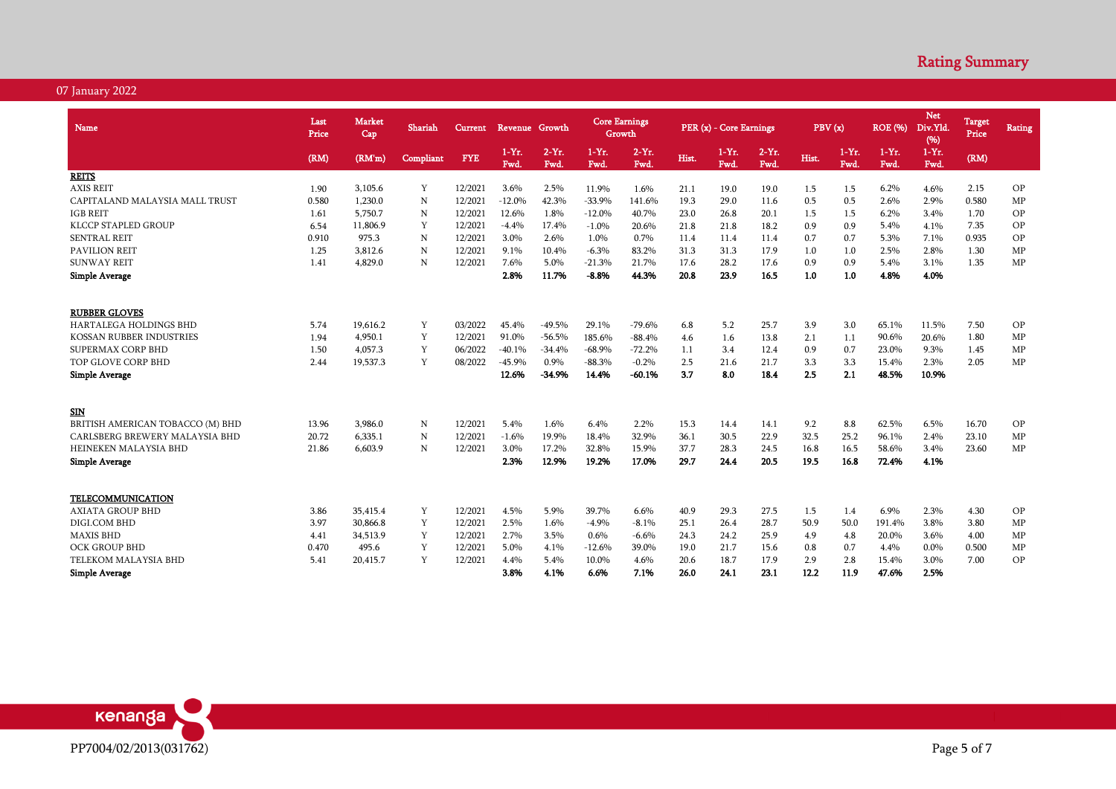| <b>Name</b>                      | Last<br>Price | Market<br>Cap | Shariah   | Current    | Revenue Growth |                  | <b>Core Earnings</b><br>Growth |                  |       | PER (x) - Core Earnings |                 | PBV(x) |                 | <b>ROE</b> (%)   | <b>Net</b><br>Div.Yld.<br>(%) | Target<br>Price | Rating    |
|----------------------------------|---------------|---------------|-----------|------------|----------------|------------------|--------------------------------|------------------|-------|-------------------------|-----------------|--------|-----------------|------------------|-------------------------------|-----------------|-----------|
|                                  | (RM)          | (RM'm)        | Compliant | <b>FYE</b> | $1-Yr.$<br>Fwd | $2-Yr$ .<br>Fwd. | $1-Yr$ .<br>Fwd.               | $2-Yr$ .<br>Fwd. | Hist. | $1-Yr.$<br>Fwd.         | $2-Yr.$<br>Fwd. | Hist.  | $1-Yr.$<br>Fwd. | $1-Yr$ .<br>Fwd. | $1-Yr$ .<br>Fwd.              | (RM)            |           |
| <b>REITS</b>                     |               |               |           |            |                |                  |                                |                  |       |                         |                 |        |                 |                  |                               |                 |           |
| <b>AXIS REIT</b>                 | 1.90          | 3,105.6       | Y         | 12/2021    | 3.6%           | 2.5%             | 11.9%                          | 1.6%             | 21.1  | 19.0                    | 19.0            | 1.5    | 1.5             | 6.2%             | 4.6%                          | 2.15            | OP        |
| CAPITALAND MALAYSIA MALL TRUST   | 0.580         | 1,230.0       | N         | 12/2021    | $-12.0%$       | 42.3%            | $-33.9%$                       | 141.6%           | 19.3  | 29.0                    | 11.6            | 0.5    | 0.5             | 2.6%             | 2.9%                          | 0.580           | MP        |
| <b>IGB REIT</b>                  | 1.61          | 5,750.7       | N         | 12/2021    | 12.6%          | 1.8%             | $-12.0%$                       | 40.7%            | 23.0  | 26.8                    | 20.1            | 1.5    | 1.5             | 6.2%             | 3.4%                          | 1.70            | OP        |
| KLCCP STAPLED GROUP              | 6.54          | 11,806.9      | Y         | 12/2021    | $-4.4%$        | 17.4%            | $-1.0%$                        | 20.6%            | 21.8  | 21.8                    | 18.2            | 0.9    | 0.9             | 5.4%             | 4.1%                          | 7.35            | OP        |
| <b>SENTRAL REIT</b>              | 0.910         | 975.3         | N         | 12/2021    | 3.0%           | 2.6%             | 1.0%                           | 0.7%             | 11.4  | 11.4                    | 11.4            | 0.7    | 0.7             | 5.3%             | 7.1%                          | 0.935           | OP        |
| <b>PAVILION REIT</b>             | 1.25          | 3,812.6       | N         | 12/2021    | 9.1%           | 10.4%            | $-6.3%$                        | 83.2%            | 31.3  | 31.3                    | 17.9            | 1.0    | 1.0             | 2.5%             | 2.8%                          | 1.30            | MP        |
| <b>SUNWAY REIT</b>               | 1.41          | 4,829.0       | N         | 12/2021    | 7.6%           | 5.0%             | $-21.3%$                       | 21.7%            | 17.6  | 28.2                    | 17.6            | 0.9    | 0.9             | 5.4%             | 3.1%                          | 1.35            | MP        |
| <b>Simple Average</b>            |               |               |           |            | 2.8%           | 11.7%            | $-8.8%$                        | 44.3%            | 20.8  | 23.9                    | 16.5            | 1.0    | 1.0             | 4.8%             | 4.0%                          |                 |           |
| <b>RUBBER GLOVES</b>             |               |               |           |            |                |                  |                                |                  |       |                         |                 |        |                 |                  |                               |                 |           |
| <b>HARTALEGA HOLDINGS BHD</b>    | 5.74          | 19,616.2      | Y         | 03/2022    | 45.4%          | $-49.5%$         | 29.1%                          | $-79.6%$         | 6.8   | 5.2                     | 25.7            | 3.9    | 3.0             | 65.1%            | 11.5%                         | 7.50            | OP        |
| KOSSAN RUBBER INDUSTRIES         | 1.94          | 4,950.1       | Y         | 12/2021    | 91.0%          | $-56.5%$         | 185.6%                         | $-88.4%$         | 4.6   | 1.6                     | 13.8            | 2.1    | 1.1             | 90.6%            | 20.6%                         | 1.80            | MP        |
| SUPERMAX CORP BHD                | 1.50          | 4.057.3       | Y         | 06/2022    | $-40.1%$       | $-34.4%$         | $-68.9%$                       | $-72.2%$         | 1.1   | 3.4                     | 12.4            | 0.9    | 0.7             | 23.0%            | 9.3%                          | 1.45            | MP        |
| TOP GLOVE CORP BHD               | 2.44          | 19,537.3      | Y         | 08/2022    | $-45.9%$       | 0.9%             | $-88.3%$                       | $-0.2%$          | 2.5   | 21.6                    | 21.7            | 3.3    | 3.3             | 15.4%            | 2.3%                          | 2.05            | MP        |
| <b>Simple Average</b>            |               |               |           |            | 12.6%          | $-34.9%$         | 14.4%                          | $-60.1%$         | 3.7   | 8.0                     | 18.4            | 2.5    | 2.1             | 48.5%            | 10.9%                         |                 |           |
|                                  |               |               |           |            |                |                  |                                |                  |       |                         |                 |        |                 |                  |                               |                 |           |
| <b>SIN</b>                       |               |               |           |            |                |                  |                                |                  |       |                         |                 |        |                 |                  |                               |                 |           |
| BRITISH AMERICAN TOBACCO (M) BHD | 13.96         | 3,986.0       | N         | 12/2021    | 5.4%           | 1.6%             | 6.4%                           | 2.2%             | 15.3  | 14.4                    | 14.1            | 9.2    | 8.8             | 62.5%            | 6.5%                          | 16.70           | OP        |
| CARLSBERG BREWERY MALAYSIA BHD   | 20.72         | 6.335.1       | N         | 12/2021    | $-1.6%$        | 19.9%            | 18.4%                          | 32.9%            | 36.1  | 30.5                    | 22.9            | 32.5   | 25.2            | 96.1%            | 2.4%                          | 23.10           | MP        |
| HEINEKEN MALAYSIA BHD            | 21.86         | 6,603.9       | N         | 12/2021    | 3.0%           | 17.2%            | 32.8%                          | 15.9%            | 37.7  | 28.3                    | 24.5            | 16.8   | 16.5            | 58.6%            | 3.4%                          | 23.60           | MP        |
| <b>Simple Average</b>            |               |               |           |            | 2.3%           | 12.9%            | 19.2%                          | 17.0%            | 29.7  | 24.4                    | 20.5            | 19.5   | 16.8            | 72.4%            | 4.1%                          |                 |           |
| <b>TELECOMMUNICATION</b>         |               |               |           |            |                |                  |                                |                  |       |                         |                 |        |                 |                  |                               |                 |           |
| <b>AXIATA GROUP BHD</b>          | 3.86          | 35,415.4      | Y         | 12/2021    | 4.5%           | 5.9%             | 39.7%                          | 6.6%             | 40.9  | 29.3                    | 27.5            | 1.5    | 1.4             | 6.9%             | 2.3%                          | 4.30            | <b>OP</b> |
| DIGI.COM BHD                     | 3.97          | 30,866.8      | Y         | 12/2021    | 2.5%           | 1.6%             | $-4.9%$                        | $-8.1%$          | 25.1  | 26.4                    | 28.7            | 50.9   | 50.0            | 191.4%           | 3.8%                          | 3.80            | MP        |
| <b>MAXIS BHD</b>                 | 4.41          | 34,513.9      | Y         | 12/2021    | 2.7%           | 3.5%             | 0.6%                           | $-6.6%$          | 24.3  | 24.2                    | 25.9            | 4.9    | 4.8             | 20.0%            | 3.6%                          | 4.00            | MP        |
| <b>OCK GROUP BHD</b>             | 0.470         | 495.6         | Y         | 12/2021    | 5.0%           | 4.1%             | $-12.6%$                       | 39.0%            | 19.0  | 21.7                    | 15.6            | 0.8    | 0.7             | 4.4%             | 0.0%                          | 0.500           | MP        |
| TELEKOM MALAYSIA BHD             | 5.41          | 20,415.7      | Y         | 12/2021    | 4.4%           | 5.4%             | 10.0%                          | 4.6%             | 20.6  | 18.7                    | 17.9            | 2.9    | 2.8             | 15.4%            | 3.0%                          | 7.00            | <b>OP</b> |
| <b>Simple Average</b>            |               |               |           |            | 3.8%           | 4.1%             | 6.6%                           | 7.1%             | 26.0  | 24.1                    | 23.1            | 12.2   | 11.9            | 47.6%            | 2.5%                          |                 |           |

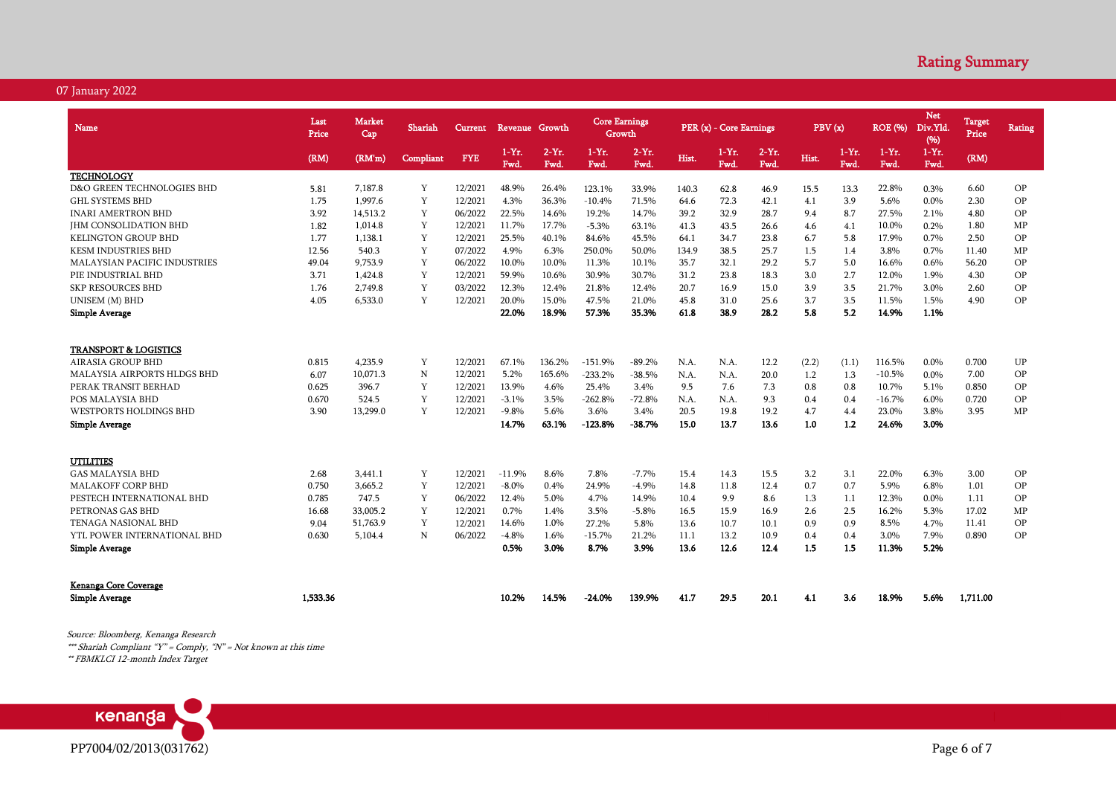| Name                                                                                                                                                                                              | Last<br>Price                           | <b>Market</b><br>Cap                              | Shariah                         | Current                                             | Revenue Growth                                        |                                                   | <b>Core Earnings</b><br>Growth                                  |                                                              |                                             | PER (x) - Core Earnings                     |                                            | PBV(x)                                   |                                          | <b>ROE</b> (%)                                            | <b>Net</b><br>Div.Yld<br>(96)                | <b>Target</b><br>Price                  | <b>Rating</b>              |
|---------------------------------------------------------------------------------------------------------------------------------------------------------------------------------------------------|-----------------------------------------|---------------------------------------------------|---------------------------------|-----------------------------------------------------|-------------------------------------------------------|---------------------------------------------------|-----------------------------------------------------------------|--------------------------------------------------------------|---------------------------------------------|---------------------------------------------|--------------------------------------------|------------------------------------------|------------------------------------------|-----------------------------------------------------------|----------------------------------------------|-----------------------------------------|----------------------------|
|                                                                                                                                                                                                   | (RM)                                    | (RM'm)                                            | Compliant                       | <b>FYE</b>                                          | $1-Yr.$<br>Fwd.                                       | $2-Yr.$<br>Fwd.                                   | $1-Yr.$<br>Fwd.                                                 | $2-Yr$ .<br>Fwd.                                             | Hist.                                       | $1-Yr.$<br>Fwd.                             | $2-Yr.$<br>Fwd.                            | Hist.                                    | $1-Yr.$<br>Fwd.                          | $1-Yr.$<br>Fwd.                                           | $1-Yr.$<br>Fwd.                              | (RM)                                    |                            |
| <b>TECHNOLOGY</b>                                                                                                                                                                                 |                                         |                                                   |                                 |                                                     |                                                       |                                                   |                                                                 |                                                              |                                             |                                             |                                            |                                          |                                          |                                                           |                                              |                                         |                            |
| D&O GREEN TECHNOLOGIES BHD                                                                                                                                                                        | 5.81                                    | 7.187.8                                           | Y                               | 12/2021                                             | 48.9%                                                 | 26.4%                                             | 123.1%                                                          | 33.9%                                                        | 140.3                                       | 62.8                                        | 46.9                                       | 15.5                                     | 13.3                                     | 22.8%                                                     | 0.3%                                         | 6.60                                    | OP                         |
| <b>GHL SYSTEMS BHD</b>                                                                                                                                                                            | 1.75                                    | 1,997.6                                           | Y                               | 12/2021                                             | 4.3%                                                  | 36.3%                                             | $-10.4%$                                                        | 71.5%                                                        | 64.6                                        | 72.3                                        | 42.1                                       | 4.1                                      | 3.9                                      | 5.6%                                                      | 0.0%                                         | 2.30                                    | OP                         |
| <b>INARI AMERTRON BHD</b>                                                                                                                                                                         | 3.92                                    | 14,513.2                                          | Y                               | 06/2022                                             | 22.5%                                                 | 14.6%                                             | 19.2%                                                           | 14.7%                                                        | 39.2                                        | 32.9                                        | 28.7                                       | 9.4                                      | 8.7                                      | 27.5%                                                     | 2.1%                                         | 4.80                                    | OP                         |
| <b>IHM CONSOLIDATION BHD</b>                                                                                                                                                                      | 1.82                                    | 1.014.8                                           | Y                               | 12/2021                                             | 11.7%                                                 | 17.7%                                             | $-5.3%$                                                         | 63.1%                                                        | 41.3                                        | 43.5                                        | 26.6                                       | 4.6                                      | 4.1                                      | 10.0%                                                     | 0.2%                                         | 1.80                                    | MP                         |
| <b>KELINGTON GROUP BHD</b>                                                                                                                                                                        | 1.77                                    | 1,138.1                                           | Y                               | 12/2021                                             | 25.5%                                                 | 40.1%                                             | 84.6%                                                           | 45.5%                                                        | 64.1                                        | 34.7                                        | 23.8                                       | 6.7                                      | 5.8                                      | 17.9%                                                     | 0.7%                                         | 2.50                                    | OP                         |
| <b>KESM INDUSTRIES BHD</b>                                                                                                                                                                        | 12.56                                   | 540.3                                             | Y                               | 07/2022                                             | 4.9%                                                  | 6.3%                                              | 250.0%                                                          | 50.0%                                                        | 134.9                                       | 38.5                                        | 25.7                                       | 1.5                                      | 1.4                                      | 3.8%                                                      | 0.7%                                         | 11.40                                   | MP                         |
| MALAYSIAN PACIFIC INDUSTRIES                                                                                                                                                                      | 49.04                                   | 9,753.9                                           | Y                               | 06/2022                                             | 10.0%                                                 | 10.0%                                             | 11.3%                                                           | 10.1%                                                        | 35.7                                        | 32.1                                        | 29.2                                       | 5.7                                      | 5.0                                      | 16.6%                                                     | 0.6%                                         | 56.20                                   | OP                         |
| PIE INDUSTRIAL BHD                                                                                                                                                                                | 3.71                                    | 1,424.8                                           | Y                               | 12/2021                                             | 59.9%                                                 | 10.6%                                             | 30.9%                                                           | 30.7%                                                        | 31.2                                        | 23.8                                        | 18.3                                       | 3.0                                      | 2.7                                      | 12.0%                                                     | 1.9%                                         | 4.30                                    | OP                         |
| <b>SKP RESOURCES BHD</b>                                                                                                                                                                          | 1.76                                    | 2,749.8                                           | Y                               | 03/2022                                             | 12.3%                                                 | 12.4%                                             | 21.8%                                                           | 12.4%                                                        | 20.7                                        | 16.9                                        | 15.0                                       | 3.9                                      | 3.5                                      | 21.7%                                                     | 3.0%                                         | 2.60                                    | OP                         |
| UNISEM (M) BHD                                                                                                                                                                                    | 4.05                                    | 6,533.0                                           | Y                               | 12/2021                                             | 20.0%                                                 | 15.0%                                             | 47.5%                                                           | 21.0%                                                        | 45.8                                        | 31.0                                        | 25.6                                       | 3.7                                      | 3.5                                      | 11.5%                                                     | 1.5%                                         | 4.90                                    | OP                         |
| <b>Simple Average</b>                                                                                                                                                                             |                                         |                                                   |                                 |                                                     | 22.0%                                                 | 18.9%                                             | 57.3%                                                           | 35.3%                                                        | 61.8                                        | 38.9                                        | 28.2                                       | 5.8                                      | 5.2                                      | 14.9%                                                     | 1.1%                                         |                                         |                            |
| <b>TRANSPORT &amp; LOGISTICS</b><br>AIRASIA GROUP BHD<br><b>MALAYSIA AIRPORTS HLDGS BHD</b><br>PERAK TRANSIT BERHAD<br>POS MALAYSIA BHD<br><b>WESTPORTS HOLDINGS BHD</b><br><b>Simple Average</b> | 0.815<br>6.07<br>0.625<br>0.670<br>3.90 | 4,235.9<br>10.071.3<br>396.7<br>524.5<br>13,299.0 | Y<br>$\mathbf N$<br>Y<br>Y<br>Y | 12/2021<br>12/2021<br>12/2021<br>12/2021<br>12/2021 | 67.1%<br>5.2%<br>13.9%<br>$-3.1%$<br>$-9.8%$<br>14.7% | 136.2%<br>165.6%<br>4.6%<br>3.5%<br>5.6%<br>63.1% | $-151.9%$<br>$-233.2%$<br>25.4%<br>$-262.8%$<br>3.6%<br>-123.8% | $-89.2%$<br>$-38.5%$<br>3.4%<br>$-72.8%$<br>3.4%<br>$-38.7%$ | N.A.<br>N.A.<br>9.5<br>N.A.<br>20.5<br>15.0 | N.A.<br>N.A.<br>7.6<br>N.A.<br>19.8<br>13.7 | 12.2<br>20.0<br>7.3<br>9.3<br>19.2<br>13.6 | (2.2)<br>1.2<br>0.8<br>0.4<br>4.7<br>1.0 | (1.1)<br>1.3<br>0.8<br>0.4<br>4.4<br>1.2 | 116.5%<br>$-10.5%$<br>10.7%<br>$-16.7%$<br>23.0%<br>24.6% | 0.0%<br>0.0%<br>5.1%<br>6.0%<br>3.8%<br>3.0% | 0.700<br>7.00<br>0.850<br>0.720<br>3.95 | UP<br>OP<br>OP<br>OP<br>MP |
| <b>UTILITIES</b>                                                                                                                                                                                  |                                         |                                                   |                                 |                                                     |                                                       |                                                   |                                                                 |                                                              |                                             |                                             |                                            |                                          |                                          |                                                           |                                              |                                         |                            |
| <b>GAS MALAYSIA BHD</b>                                                                                                                                                                           | 2.68                                    | 3,441.1                                           | Y                               | 12/2021                                             | $-11.9%$                                              | 8.6%                                              | 7.8%                                                            | $-7.7%$                                                      | 15.4                                        | 14.3                                        | 15.5                                       | 3.2                                      | 3.1                                      | 22.0%                                                     | 6.3%                                         | 3.00                                    | OP                         |
| <b>MALAKOFF CORP BHD</b>                                                                                                                                                                          | 0.750                                   | 3,665.2                                           | Y                               | 12/2021                                             | $-8.0\%$                                              | 0.4%                                              | 24.9%                                                           | $-4.9%$                                                      | 14.8                                        | 11.8                                        | 12.4                                       | 0.7                                      | 0.7                                      | 5.9%                                                      | 6.8%                                         | 1.01                                    | OP                         |
| PESTECH INTERNATIONAL BHD                                                                                                                                                                         | 0.785                                   | 747.5                                             | $\mathbf Y$                     | 06/2022                                             | 12.4%                                                 | 5.0%                                              | 4.7%                                                            | 14.9%                                                        | 10.4                                        | 9.9                                         | 8.6                                        | 1.3                                      | 1.1                                      | 12.3%                                                     | 0.0%                                         | 1.11                                    | OP                         |
| PETRONAS GAS BHD                                                                                                                                                                                  | 16.68                                   | 33,005.2                                          | Y                               | 12/2021                                             | 0.7%                                                  | 1.4%                                              | 3.5%                                                            | $-5.8%$                                                      | 16.5                                        | 15.9                                        | 16.9                                       | 2.6                                      | 2.5                                      | 16.2%                                                     | 5.3%                                         | 17.02                                   | MP                         |
| <b>TENAGA NASIONAL BHD</b>                                                                                                                                                                        | 9.04                                    | 51,763.9                                          | Y                               | 12/2021                                             | 14.6%                                                 | 1.0%                                              | 27.2%                                                           | 5.8%                                                         | 13.6                                        | 10.7                                        | 10.1                                       | 0.9                                      | 0.9                                      | 8.5%                                                      | 4.7%                                         | 11.41                                   | OP                         |
| YTL POWER INTERNATIONAL BHD                                                                                                                                                                       | 0.630                                   | 5,104.4                                           | $\mathbf N$                     | 06/2022                                             | $-4.8%$                                               | 1.6%                                              | $-15.7%$                                                        | 21.2%                                                        | 11.1                                        | 13.2                                        | 10.9                                       | 0.4                                      | 0.4                                      | 3.0%                                                      | 7.9%                                         | 0.890                                   | OP                         |
| <b>Simple Average</b>                                                                                                                                                                             |                                         |                                                   |                                 |                                                     | 0.5%                                                  | 3.0%                                              | 8.7%                                                            | 3.9%                                                         | 13.6                                        | 12.6                                        | 12.4                                       | 1.5                                      | 1.5                                      | 11.3%                                                     | 5.2%                                         |                                         |                            |
| <b>Kenanga Core Coverage</b><br><b>Simple Average</b>                                                                                                                                             | 1.533.36                                |                                                   |                                 |                                                     | 10.2%                                                 | 14.5%                                             | $-24.0%$                                                        | 139.9%                                                       | 41.7                                        | 29.5                                        | 20.1                                       | 4.1                                      | 3.6                                      | 18.9%                                                     | 5.6%                                         | 1.711.00                                |                            |

Source: Bloomberg, Kenanga Research

\*\*\* Shariah Compliant "Y" = Comply, "N" = Not known at this time

\*\* FBMKLCI 12-month Index Target